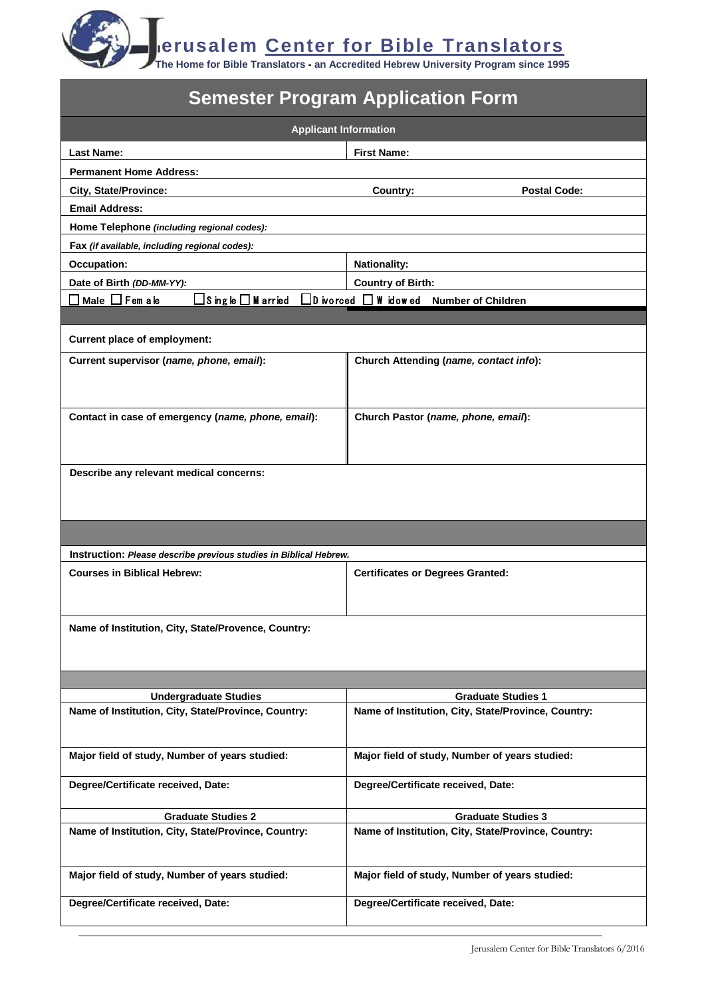**erusalem Center for Bible Translators**

**The Home for Bible Translators - an Accredited Hebrew University Program since 1995**

| <b>Semester Program Application Form</b>                                                                |                                                                                   |  |
|---------------------------------------------------------------------------------------------------------|-----------------------------------------------------------------------------------|--|
| <b>Applicant Information</b>                                                                            |                                                                                   |  |
| <b>Last Name:</b>                                                                                       | <b>First Name:</b>                                                                |  |
| <b>Permanent Home Address:</b>                                                                          |                                                                                   |  |
| <b>City, State/Province:</b>                                                                            | <b>Postal Code:</b><br>Country:                                                   |  |
| <b>Email Address:</b>                                                                                   |                                                                                   |  |
| Home Telephone (including regional codes):                                                              |                                                                                   |  |
| Fax (if available, including regional codes):                                                           |                                                                                   |  |
| <b>Occupation:</b>                                                                                      | <b>Nationality:</b>                                                               |  |
| Date of Birth (DD-MM-YY):                                                                               | <b>Country of Birth:</b>                                                          |  |
| コMale ロ Fem a le                                                                                        | $\Box$ Single $\Box$ M arried $\Box$ D ivorced $\Box$ W idowed Number of Children |  |
|                                                                                                         |                                                                                   |  |
| <b>Current place of employment:</b>                                                                     |                                                                                   |  |
| Current supervisor (name, phone, email):                                                                | Church Attending (name, contact info):                                            |  |
|                                                                                                         |                                                                                   |  |
|                                                                                                         |                                                                                   |  |
| Contact in case of emergency (name, phone, email):                                                      | Church Pastor (name, phone, email):                                               |  |
|                                                                                                         |                                                                                   |  |
|                                                                                                         |                                                                                   |  |
| Describe any relevant medical concerns:                                                                 |                                                                                   |  |
|                                                                                                         |                                                                                   |  |
|                                                                                                         |                                                                                   |  |
|                                                                                                         |                                                                                   |  |
|                                                                                                         |                                                                                   |  |
| Instruction: Please describe previous studies in Biblical Hebrew.<br><b>Courses in Biblical Hebrew:</b> | <b>Certificates or Degrees Granted:</b>                                           |  |
|                                                                                                         |                                                                                   |  |
|                                                                                                         |                                                                                   |  |
| Name of Institution, City, State/Provence, Country:                                                     |                                                                                   |  |
|                                                                                                         |                                                                                   |  |
|                                                                                                         |                                                                                   |  |
|                                                                                                         |                                                                                   |  |
| <b>Undergraduate Studies</b>                                                                            | <b>Graduate Studies 1</b>                                                         |  |
| Name of Institution, City, State/Province, Country:                                                     | Name of Institution, City, State/Province, Country:                               |  |
|                                                                                                         |                                                                                   |  |
| Major field of study, Number of years studied:                                                          | Major field of study, Number of years studied:                                    |  |
|                                                                                                         |                                                                                   |  |
| Degree/Certificate received, Date:                                                                      | Degree/Certificate received, Date:                                                |  |
|                                                                                                         |                                                                                   |  |
| <b>Graduate Studies 2</b><br>Name of Institution, City, State/Province, Country:                        | <b>Graduate Studies 3</b><br>Name of Institution, City, State/Province, Country:  |  |
|                                                                                                         |                                                                                   |  |
|                                                                                                         |                                                                                   |  |
| Major field of study, Number of years studied:                                                          | Major field of study, Number of years studied:                                    |  |
| Degree/Certificate received, Date:                                                                      | Degree/Certificate received, Date:                                                |  |
|                                                                                                         |                                                                                   |  |